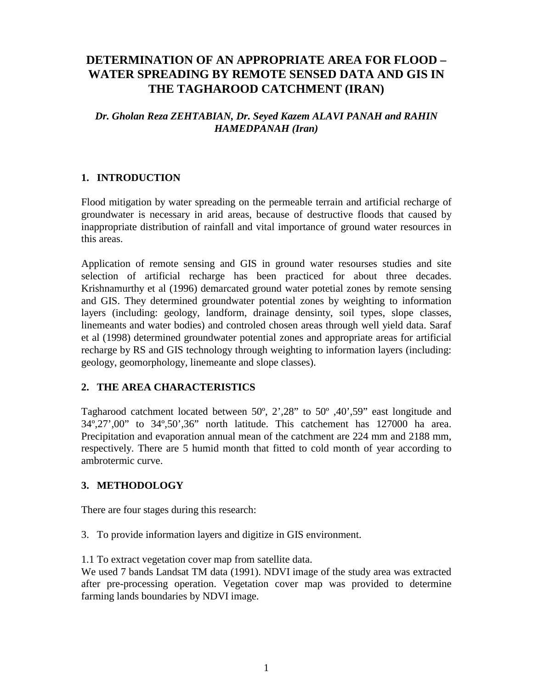# **DETERMINATION OF AN APPROPRIATE AREA FOR FLOOD – WATER SPREADING BY REMOTE SENSED DATA AND GIS IN THE TAGHAROOD CATCHMENT (IRAN)**

## *Dr. Gholan Reza ZEHTABIAN, Dr. Seyed Kazem ALAVI PANAH and RAHIN HAMEDPANAH (Iran)*

# **1. INTRODUCTION**

Flood mitigation by water spreading on the permeable terrain and artificial recharge of groundwater is necessary in arid areas, because of destructive floods that caused by inappropriate distribution of rainfall and vital importance of ground water resources in this areas.

Application of remote sensing and GIS in ground water resourses studies and site selection of artificial recharge has been practiced for about three decades. Krishnamurthy et al (1996) demarcated ground water potetial zones by remote sensing and GIS. They determined groundwater potential zones by weighting to information layers (including: geology, landform, drainage densinty, soil types, slope classes, linemeants and water bodies) and controled chosen areas through well yield data. Saraf et al (1998) determined groundwater potential zones and appropriate areas for artificial recharge by RS and GIS technology through weighting to information layers (including: geology, geomorphology, linemeante and slope classes).

### **2. THE AREA CHARACTERISTICS**

Tagharood catchment located between 50º, 2',28" to 50º ,40',59" east longitude and 34º,27',00" to 34º,50',36" north latitude. This catchement has 127000 ha area. Precipitation and evaporation annual mean of the catchment are 224 mm and 2188 mm, respectively. There are 5 humid month that fitted to cold month of year according to ambrotermic curve.

### **3. METHODOLOGY**

There are four stages during this research:

3. To provide information layers and digitize in GIS environment.

1.1 To extract vegetation cover map from satellite data.

We used 7 bands Landsat TM data (1991). NDVI image of the study area was extracted after pre-processing operation. Vegetation cover map was provided to determine farming lands boundaries by NDVI image.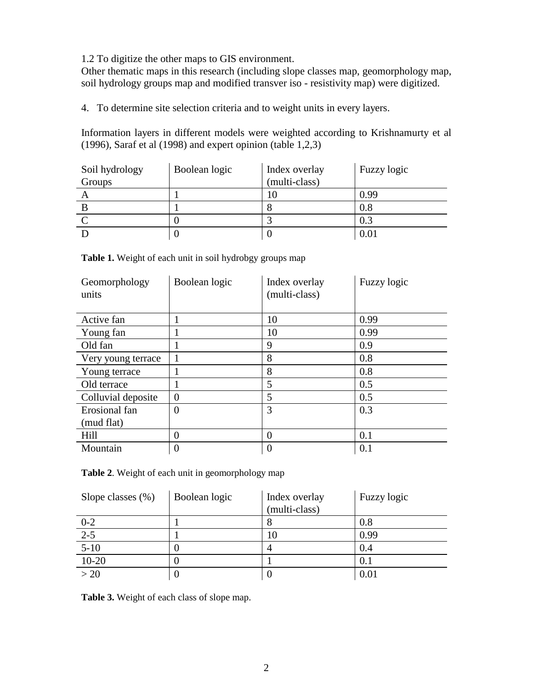1.2 To digitize the other maps to GIS environment.

Other thematic maps in this research (including slope classes map, geomorphology map, soil hydrology groups map and modified transver iso - resistivity map) were digitized.

4. To determine site selection criteria and to weight units in every layers.

Information layers in different models were weighted according to Krishnamurty et al (1996), Saraf et al (1998) and expert opinion (table 1,2,3)

| Soil hydrology | Boolean logic | Index overlay | Fuzzy logic |
|----------------|---------------|---------------|-------------|
| Groups         |               | (multi-class) |             |
|                |               |               | 0.99        |
|                |               |               | 0.8         |
|                |               |               | 0.3         |
|                |               |               | 0.01        |

**Table 1.** Weight of each unit in soil hydrobgy groups map

| Geomorphology<br>units | Boolean logic    | Index overlay<br>(multi-class) | Fuzzy logic |
|------------------------|------------------|--------------------------------|-------------|
| Active fan             |                  | 10                             | 0.99        |
| Young fan              | 1                | 10                             | 0.99        |
| Old fan                |                  | 9                              | 0.9         |
| Very young terrace     | 1                | 8                              | 0.8         |
| Young terrace          | $\mathbf{1}$     | 8                              | 0.8         |
| Old terrace            | 1                | 5                              | 0.5         |
| Colluvial deposite     | $\overline{0}$   | 5                              | 0.5         |
| Erosional fan          | $\overline{0}$   | 3                              | 0.3         |
| (mud flat)             |                  |                                |             |
| Hill                   | $\theta$         | $\theta$                       | 0.1         |
| Mountain               | $\boldsymbol{0}$ | $\theta$                       | 0.1         |

**Table 2**. Weight of each unit in geomorphology map

| Slope classes $(\% )$ | Boolean logic | Index overlay | Fuzzy logic |
|-----------------------|---------------|---------------|-------------|
|                       |               | (multi-class) |             |
| $0 - 2$               |               |               | 0.8         |
| $2-5$                 |               | 10            | 0.99        |
| $5-10$                |               |               | 0.4         |
| $10 - 20$             |               |               | 0.1         |
| >20                   | U             |               | 0.01        |

**Table 3.** Weight of each class of slope map.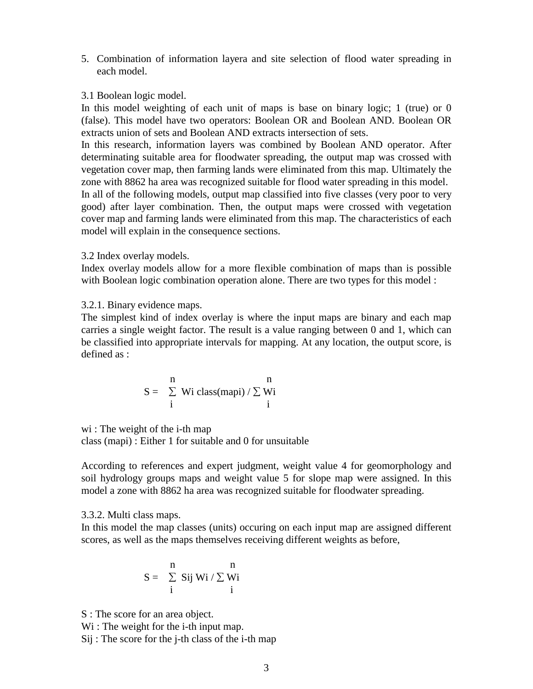5. Combination of information layera and site selection of flood water spreading in each model.

#### 3.1 Boolean logic model.

In this model weighting of each unit of maps is base on binary logic; 1 (true) or 0 (false). This model have two operators: Boolean OR and Boolean AND. Boolean OR extracts union of sets and Boolean AND extracts intersection of sets.

In this research, information layers was combined by Boolean AND operator. After determinating suitable area for floodwater spreading, the output map was crossed with vegetation cover map, then farming lands were eliminated from this map. Ultimately the zone with 8862 ha area was recognized suitable for flood water spreading in this model. In all of the following models, output map classified into five classes (very poor to very good) after layer combination. Then, the output maps were crossed with vegetation cover map and farming lands were eliminated from this map. The characteristics of each model will explain in the consequence sections.

#### 3.2 Index overlay models.

Index overlay models allow for a more flexible combination of maps than is possible with Boolean logic combination operation alone. There are two types for this model :

#### 3.2.1. Binary evidence maps.

The simplest kind of index overlay is where the input maps are binary and each map carries a single weight factor. The result is a value ranging between 0 and 1, which can be classified into appropriate intervals for mapping. At any location, the output score, is defined as :

$$
S = \sum_{i}^{n} Wi \text{ class}(mapi) / \sum_{i}^{n} Wi
$$

wi : The weight of the *i*-th map class (mapi) : Either 1 for suitable and 0 for unsuitable

According to references and expert judgment, weight value 4 for geomorphology and soil hydrology groups maps and weight value 5 for slope map were assigned. In this model a zone with 8862 ha area was recognized suitable for floodwater spreading.

### 3.3.2. Multi class maps.

In this model the map classes (units) occuring on each input map are assigned different scores, as well as the maps themselves receiving different weights as before,

$$
S = \begin{array}{cc} n & n \\ \sum\limits_i Sij \; Wi \; / \; \sum\limits_i Wi \\ i & i \end{array}
$$

S : The score for an area object.

Wi : The weight for the *i*-th input map.

Sij : The score for the j-th class of the i-th map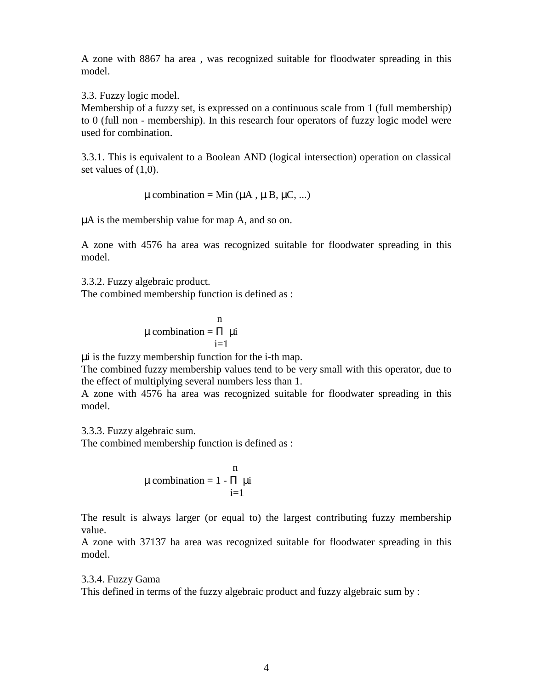A zone with 8867 ha area , was recognized suitable for floodwater spreading in this model.

3.3. Fuzzy logic model.

Membership of a fuzzy set, is expressed on a continuous scale from 1 (full membership) to 0 (full non - membership). In this research four operators of fuzzy logic model were used for combination.

3.3.1. This is equivalent to a Boolean AND (logical intersection) operation on classical set values of  $(1,0)$ .

$$
\mu
$$
 combination = Min ( $\mu$ A,  $\mu$ B,  $\mu$ C, ...)

µA is the membership value for map A, and so on.

A zone with 4576 ha area was recognized suitable for floodwater spreading in this model.

3.3.2. Fuzzy algebraic product. The combined membership function is defined as :

$$
\mu \text{ combination} = \prod_{i=1}^{n} \mu i
$$

µi is the fuzzy membership function for the i-th map.

The combined fuzzy membership values tend to be very small with this operator, due to the effect of multiplying several numbers less than 1.

A zone with 4576 ha area was recognized suitable for floodwater spreading in this model.

3.3.3. Fuzzy algebraic sum.

The combined membership function is defined as :

$$
\mu \text{ combination} = 1 - \prod_{i=1}^{n} \mu i
$$

The result is always larger (or equal to) the largest contributing fuzzy membership value.

A zone with 37137 ha area was recognized suitable for floodwater spreading in this model.

#### 3.3.4. Fuzzy Gama

This defined in terms of the fuzzy algebraic product and fuzzy algebraic sum by :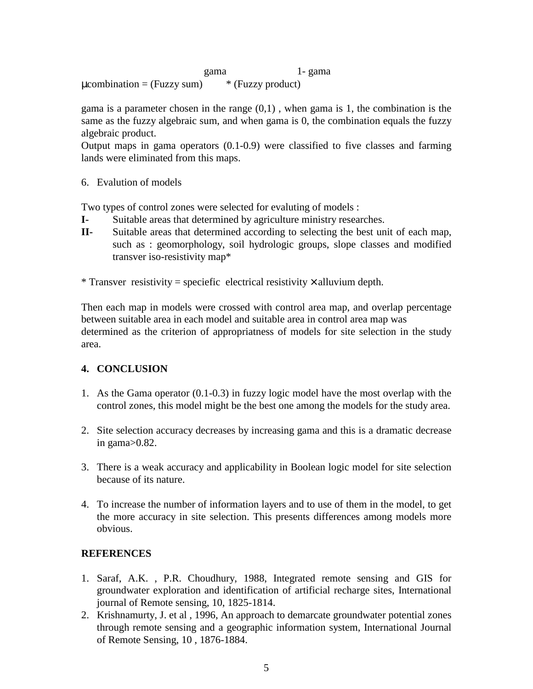gama 1- gama  $\mu$ combination = (Fuzzy sum)  $*$  (Fuzzy product)

gama is a parameter chosen in the range  $(0,1)$ , when gama is 1, the combination is the same as the fuzzy algebraic sum, and when gama is 0, the combination equals the fuzzy algebraic product.

Output maps in gama operators (0.1-0.9) were classified to five classes and farming lands were eliminated from this maps.

6. Evalution of models

Two types of control zones were selected for evaluting of models :

- **I-** Suitable areas that determined by agriculture ministry researches.
- **II-** Suitable areas that determined according to selecting the best unit of each map, such as : geomorphology, soil hydrologic groups, slope classes and modified transver iso-resistivity map\*

\* Transver resistivity = speciefic electrical resistivity  $\times$  alluvium depth.

Then each map in models were crossed with control area map, and overlap percentage between suitable area in each model and suitable area in control area map was determined as the criterion of appropriatness of models for site selection in the study area.

### **4. CONCLUSION**

- 1. As the Gama operator (0.1-0.3) in fuzzy logic model have the most overlap with the control zones, this model might be the best one among the models for the study area.
- 2. Site selection accuracy decreases by increasing gama and this is a dramatic decrease in gama>0.82.
- 3. There is a weak accuracy and applicability in Boolean logic model for site selection because of its nature.
- 4. To increase the number of information layers and to use of them in the model, to get the more accuracy in site selection. This presents differences among models more obvious.

### **REFERENCES**

- 1. Saraf, A.K. , P.R. Choudhury, 1988, Integrated remote sensing and GIS for groundwater exploration and identification of artificial recharge sites, International journal of Remote sensing, 10, 1825-1814.
- 2. Krishnamurty, J. et al , 1996, An approach to demarcate groundwater potential zones through remote sensing and a geographic information system, International Journal of Remote Sensing, 10 , 1876-1884.